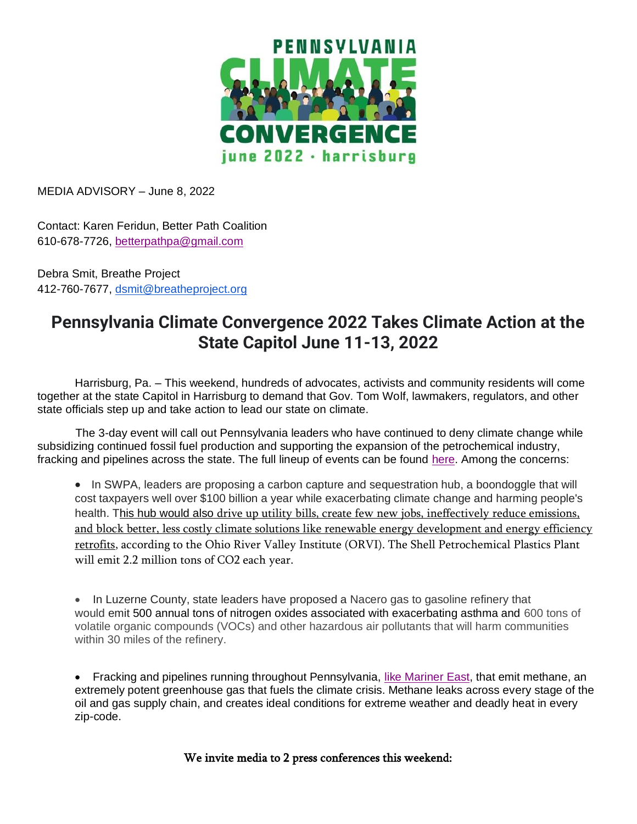

MEDIA ADVISORY – June 8, 2022

Contact: Karen Feridun, Better Path Coalition 610-678-7726, [betterpathpa@gmail.com](mailto:betterpathpa@gmail.com)

Debra Smit, Breathe Project 412-760-7677, [dsmit@breatheproject.org](mailto:dsmit@breatheproject.org)

## **Pennsylvania Climate Convergence 2022 Takes Climate Action at the State Capitol June 11-13, 2022**

Harrisburg, Pa. – This weekend, hundreds of advocates, activists and community residents will come together at the state Capitol in Harrisburg to demand that Gov. Tom Wolf, lawmakers, regulators, and other state officials step up and take action to lead our state on climate.

 The 3-day event will call out Pennsylvania leaders who have continued to deny climate change while subsidizing continued fossil fuel production and supporting the expansion of the petrochemical industry, fracking and pipelines across the state. The full lineup of events can be found [here.](https://www.pennsylvaniaclimateconvergence.org/events) Among the concerns:

• In SWPA, leaders are proposing a carbon capture and sequestration hub, a boondoggle that will cost taxpayers well over \$100 billion a year while exacerbating climate change and harming people's health. This hub would also drive up utility bills, create few new jobs, ineffectively reduce emissions, [and block better, less costly climate solutions like renewable energy development and energy efficiency](https://docs.google.com/document/d/1t886oukNH4Vb9DaR-S5xUpg-hY73ekuYUazjKDBt910/edit)  [retrofits,](https://docs.google.com/document/d/1t886oukNH4Vb9DaR-S5xUpg-hY73ekuYUazjKDBt910/edit) according to the Ohio River Valley Institute (ORVI). The Shell Petrochemical Plastics Plant will emit 2.2 million tons of CO2 each year.

• In Luzerne County, state leaders have proposed a Nacero gas to gasoline refinery that would emit 500 annual tons of nitrogen oxides associated with exacerbating asthma and 600 tons of volatile organic compounds (VOCs) and other hazardous air pollutants that will harm communities within 30 miles of the refinery.

• Fracking and pipelines running throughout Pennsylvania, [like Mariner East,](https://www.inquirer.com/business/natural-gas-exports-pennsylvania-mariner-east-pipeline-20220508.html) that emit methane, an extremely potent greenhouse gas that fuels the climate crisis. Methane leaks across every stage of the oil and gas supply chain, and creates ideal conditions for extreme weather and deadly heat in every zip-code.

We invite media to 2 press conferences this weekend: